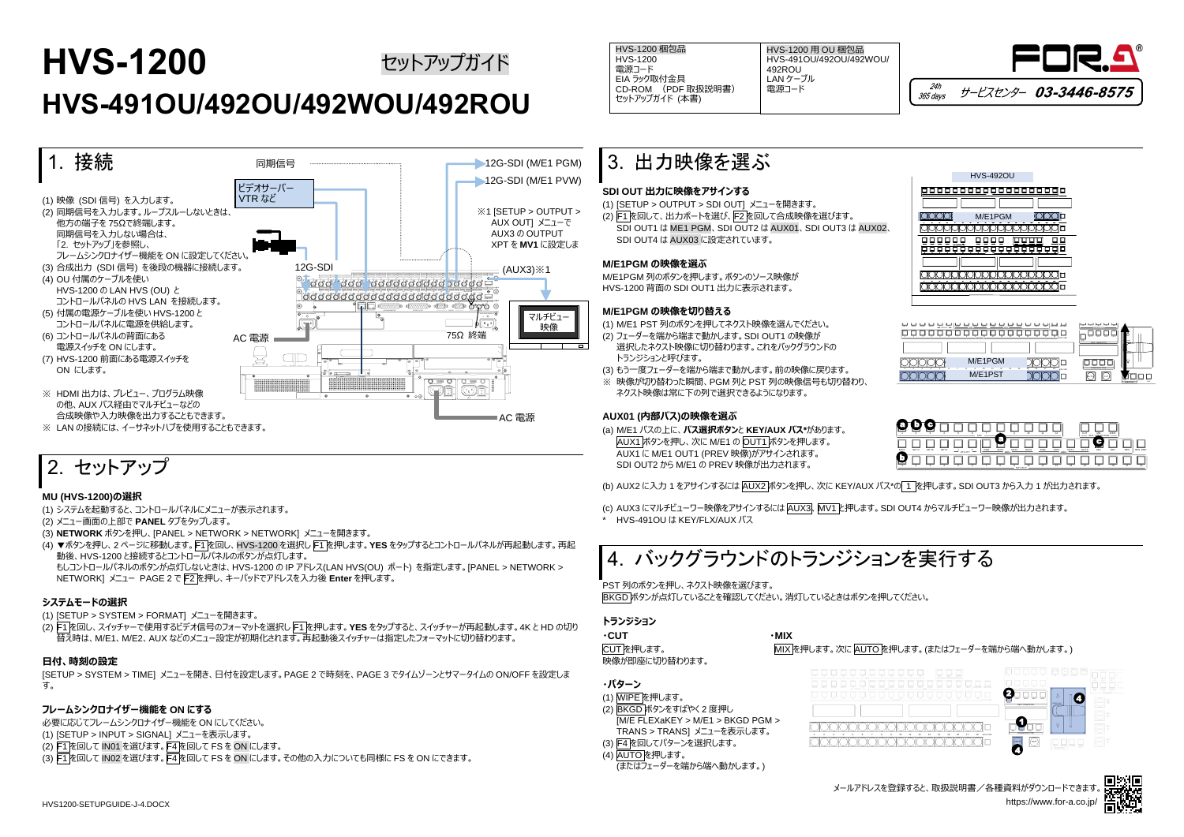## **HVS-1200**

# **HVS-491OU/492OU/492WOU/492ROU**



## 2. セットアップ

### **MU (HVS-1200)の選択**

(1) システムを起動すると、コントロールパネルにメニューが表示されます。

- (2) メニュー画面の上部で **PANEL** タブをタップします。
- (3) **NETWORK** ボタンを押し、[PANEL > NETWORK > NETWORK] メニューを開きます。
- (4) ▼ボタンを押し、2 ページに移動します。F1 を回し、HVS-1200 を選択し F1 を押します。**YES** をタップするとコントロールパネルが再起動します。再起 動後、HVS-1200 と接続するとコントロールパネルのボタンが点灯します。

もしコントロールパネルのボタンが点灯しないときは、HVS-1200 の IP アドレス(LAN HVS(OU) ポート) を指定します。[PANEL > NETWORK > NETWORK] メニュー PAGE 2 で F2 を押し、キーパッドでアドレスを入力後 **Enter** を押します。

### **システムモードの選択**

- (1) [SETUP > SYSTEM > FORMAT] メニューを開きます。
- (2) F1 を回し、スイッチャーで使用するビデオ信号のフォーマットを選択し F1 を押します。**YES** をタップすると、スイッチャーが再起動します。4K と HD の切り 替え時は、M/E1、M/E2、AUX などのメニュー設定が初期化されます。再起動後スイッチャーは指定したフォーマットに切り替わります。

(c) AUX3 にマルチビューワー映像をアサインするには AUX3、MV1 と押します。SDI OUT4 からマルチビューワー映像が出力されます。 **HVS-491OU は KEY/FLX/AUX バス** 

### **日付、時刻の設定**

[SETUP > SYSTEM > TIME] メニューを開き、日付を設定します。PAGE 2 で時刻を、PAGE 3 でタイムゾーンとサマータイムの ON/OFF を設定しま す。

### **フレームシンクロナイザー機能を ON にする**

HVS-1200 梱包品 HVS-1200 電源コード EIA ラック取付金具 CD-ROM (PDF 取扱説明書) セットアップガイド (本書) セットアップガイド インタイム HVS-1200 梱包品 トンピュート HVS-1200 用 DV 梱包品 トンピュート トッシュ トッシュ トッシュ Agency Agency Agency Agency Agency

必要に応じてフレームシンクロナイザー機能を ON にしてください。 (1) [SETUP > INPUT > SIGNAL] メニューを表示します。 (2) F1 を回して IN01 を選びます。F4 を回して FS を ON にします。 (3) F1 を回して IN02 を選びます。F4 を回して FS を ON にします。その他の入力についても同様に FS を ON にできます。

### 3. 出力映像を選ぶ

### **SDI OUT 出力に映像をアサインする**

(1) [SETUP > OUTPUT > SDI OUT] メニューを開きます。

(2) F1 を回して、出力ポートを選び、F2 を回して合成映像を選びます。 SDI OUT1 は ME1 PGM、SDI OUT2 は AUX01、SDI OUT3 は AUX02、 SDI OUT4 は AUX03 に設定されています。

#### **M/E1PGM の映像を選ぶ**

M/E1PGM 列のボタンを押します。ボタンのソース映像が HVS-1200 背面の SDI OUT1 出力に表示されます。

### **M/E1PGM の映像を切り替える**

- (1) M/E1 PST 列のボタンを押してネクスト映像を選んでください。
- (2) フェーダーを端から端まで動かします。SDI OUT1 の映像が 選択したネクスト映像に切り替わります。これをバックグラウンドの トランジションと呼びます。
- (3) もう一度フェーダーを端から端まで動かします。前の映像に戻ります。
- ※ 映像が切り替わった瞬間、PGM 列と PST 列の映像信号も切り替わり、 ネクスト映像は常に下の列で選択できるようになります。

### **AUX01 (内部バス)の映像を選ぶ**

- (a) M/E1 バスの上に、**バス選択ボタン**と **KEY/AUX バス\***があります。 AUX1 ボタンを押し、次に M/E1 の OUT1 ボタンを押します。 AUX1 に M/E1 OUT1 (PREV 映像)がアサインされます。 SDI OUT2 から M/E1 の PREV 映像が出力されます。
- (b) AUX2 に入力 1 をアサインするには AUX2 ボタンを押し、次に KEY/AUX バス\*の 1 を押します。SDI OUT3 から入力 1 が出力されます。

## 4. バックグラウンドのトランジションを実行する

PST 列のボタンを押し、ネクスト映像を選びます。 BKGD ボタンが点灯していることを確認してください。消灯しているときはボタンを押してください。

### **トランジション**

| ∙CUT           | ∙MIX |
|----------------|------|
| CUT を押します。     | MIX  |
| 映像が即座に切り替わります。 |      |

**・パターン**

(1) WIPE を押します。

(2) BKGD ボタンをすばやく 2 度押し

[M/E FLEXaKEY > M/E1 > BKGD PGM > TRANS > TRANS] メニューを表示します。



(3) F4 を回してパターンを選択します。 (4) AUTO を押します。

(またはフェーダーを端から端へ動かします。)

HVS-491OU/492OU/492WOU/ 492ROU LAN ケーブル 電源コード

KEY /AUX

MIX を押します。次に AUTO を押します。(またはフェーダーを端から端へ動かします。)

| Æ    |      |      |      | ۰       | R.<br><b>AUX</b> |     |                    |      | 10   | 11  | 12                      |      | cut<br>ALIX |           | WIPE |                |                 |
|------|------|------|------|---------|------------------|-----|--------------------|------|------|-----|-------------------------|------|-------------|-----------|------|----------------|-----------------|
| KEY1 | KEY2 | KEY3 | KEY4 | UTILITY | ×                | PGM | г.<br>OUT1<br>M/E1 | OUT2 | OUT3 | PGM | OUT1<br>ME <sub>2</sub> | OUT2 | OUT3        | .,<br>MV1 | M/2  | M <sub>3</sub> | <b>BUS DISP</b> |
| г    |      |      |      |         |                  |     |                    |      | 10   | 11  | 12                      | 13   | 14          | 15        | 16   | 17             | 18              |

| King<br>Käns<br>9373<br><b>WENT</b><br>$ uruvv$ | POM<br>O(12)<br>ours<br>POM<br><b>OUT1</b><br>ठाउ<br>᠊<br>≖ | 뉴스 노스<br>W2<br>W2<br>M/1<br>ਨਤ।<br><b>BUS FUNC</b> | <b>MYZ</b><br><b>SEVY</b><br><b>TEXT</b><br><b>ALC NO</b> |                                                                           |
|-------------------------------------------------|-------------------------------------------------------------|----------------------------------------------------|-----------------------------------------------------------|---------------------------------------------------------------------------|
|                                                 |                                                             |                                                    | <b>NEXT TRANSITION</b>                                    |                                                                           |
|                                                 | M/E1PGM                                                     | 14<br><b>BUS FUNC</b>                              | <b>AFF</b>                                                |                                                                           |
|                                                 | M/E1PST                                                     |                                                    | l cut                                                     | <b>TEV</b><br>TAM.<br>MARKY PATERN<br>$\overline{11}$<br><b>INGEPTION</b> |

| <b>HVS-492OU</b> |   |
|------------------|---|
| о                |   |
| M/E1PGM          |   |
| п                |   |
| ш<br>п           |   |
|                  |   |
|                  |   |
| п                |   |
|                  |   |
|                  |   |
|                  | . |





|             |       |             |             |               | $-$ an $-$ |            |              | ó | 10         | $-11$ | $^{+2}$ |                          | $\frac{1}{2}$ |
|-------------|-------|-------------|-------------|---------------|------------|------------|--------------|---|------------|-------|---------|--------------------------|---------------|
| <b>REVT</b> | 93.92 | <b>REYA</b> | <b>REYS</b> | $-$ unury $-$ |            | <b>PGM</b> | OUT! ME OUT? |   | OUT3       | pow   |         | outs <sub>ME2</sub> outs | outs          |
|             |       |             |             |               |            |            |              |   | $-8500022$ | $+1$  | 72      | 75                       | $+4$          |
|             |       |             |             |               |            |            |              |   |            |       |         |                          |               |
|             |       |             |             |               |            |            |              |   |            |       |         |                          |               |

|  |  |  |  | ╰ |
|--|--|--|--|---|
|  |  |  |  |   |
|  |  |  |  |   |